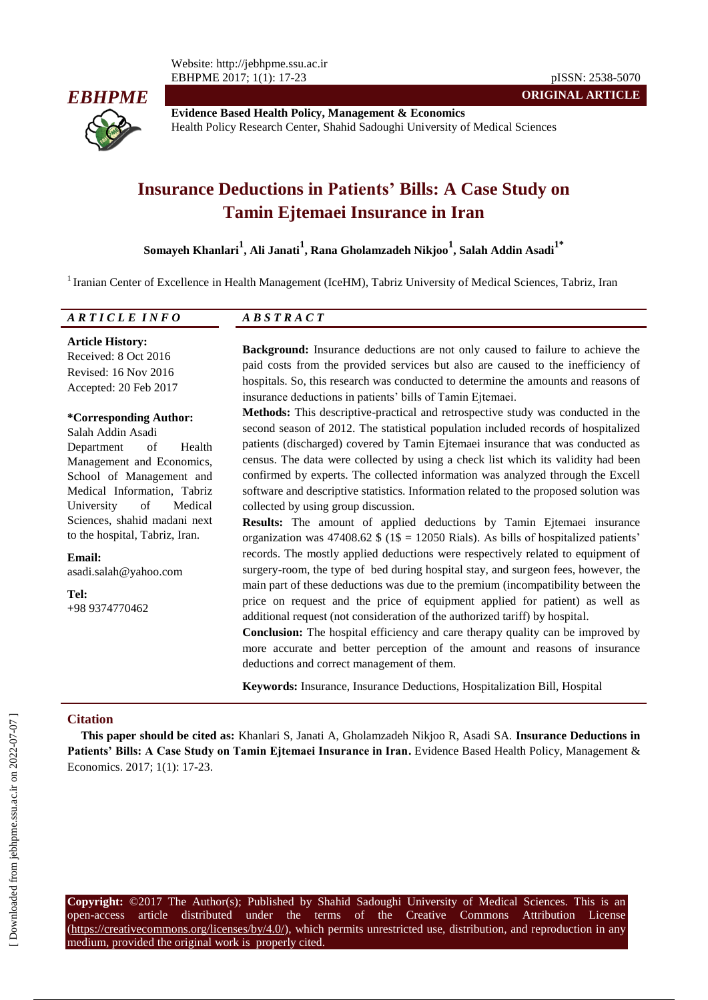Website: http://jebhpme.ssu.ac.ir EBHPME 2017; 1(1): 17-23 pISSN: 2538-5070



**Evidence Based Health Policy, Management & Economics** Health Policy Research Center, Shahid Sadoughi University of Medical Sciences

# **Insurance Deductions in Patients' Bills: A Case Study on Tamin Ejtemaei Insurance in Iran**

**Somayeh Khanlari<sup>1</sup> , Ali Janati<sup>1</sup> , Rana Gholamzadeh Nikjoo<sup>1</sup> , Salah Addin Asadi1\***

<sup>1</sup> Iranian Center of Excellence in Health Management (IceHM), Tabriz University of Medical Sciences, Tabriz, Iran

| υ | the contract of the contract of the contract of the contract of the contract of the contract of the contract of |
|---|-----------------------------------------------------------------------------------------------------------------|
|   |                                                                                                                 |

**Article History:** Received: 8 Oct 2016 Revised: 16 Nov 2016 Accepted: 20 Feb 2017

**Email:**

**Tel:**

**Background:** Insurance deductions are not only caused to failure to achieve the paid costs from the provided services but also are caused to the inefficiency of hospitals. So, this research was conducted to determine the amounts and reasons of insurance deductions in patients' bills of Tamin Ejtemaei.

**ORIGINAL ARTICLE**

# **\*Corresponding Author:**

Salah Addin Asadi Department of Health Management and Economics, School of Management and Medical Information, Tabriz University of Medical Sciences, shahid madani next to the hospital, Tabriz, Iran.

asadi.salah@yahoo.com

+98 9374770462

**Methods:** This descriptive-practical and retrospective study was conducted in the second season of 2012. The statistical population included records of hospitalized patients (discharged) covered by Tamin Ejtemaei insurance that was conducted as census. The data were collected by using a check list which its validity had been confirmed by experts. The collected information was analyzed through the Excell software and descriptive statistics. Information related to the proposed solution was collected by using group discussion.

**Results:** The amount of applied deductions by Tamin Ejtemaei insurance organization was 47408.62  $\frac{1}{2}$  (1\$ = 12050 Rials). As bills of hospitalized patients' records. The mostly applied deductions were respectively related to equipment of surgery-room, the type of bed during hospital stay, and surgeon fees, however, the main part of these deductions was due to the premium (incompatibility between the price on request and the price of equipment applied for patient) as well as additional request (not consideration of the authorized tariff) by hospital.

**Conclusion:** The hospital efficiency and care therapy quality can be improved by more accurate and better perception of the amount and reasons of insurance deductions and correct management of them.

**Keywords:** Insurance, Insurance Deductions, Hospitalization Bill, Hospital

# **Citation**

**This paper should be cited as:** Khanlari S, Janati A, Gholamzadeh Nikjoo R, Asadi SA. **Insurance Deductions in**  Patients' Bills: A Case Study on Tamin Ejtemaei Insurance in Iran. Evidence Based Health Policy, Management & Economics. 2017; 1(1): 17-23.

**Copyright:** ©2017 The Author(s); Published by Shahid Sadoughi University of Medical Sciences. This is an open-access article distributed under the terms of the Creative Commons Attribution License (https://creativecommons.org/licenses/by/4.0/), which permits unrestricted use, distribution, and reproduction in any medium, provided the original work is properly cited.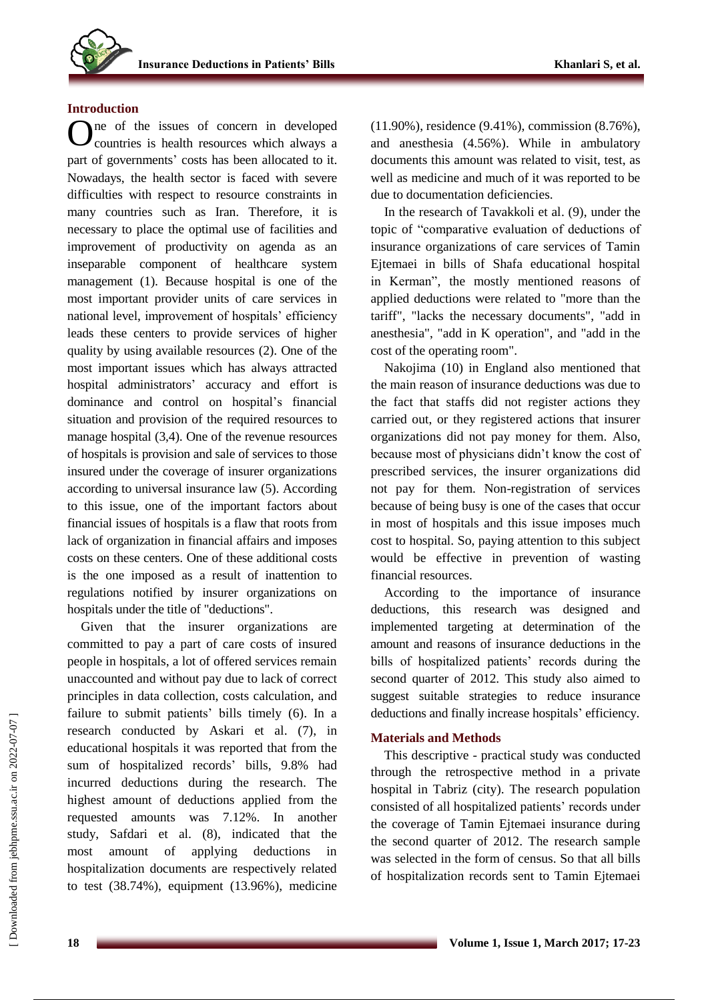# **Introduction**

ne of the issues of concern in developed countries is health resources which always a part of governments' costs has been allocated to it. Nowadays, the health sector is faced with severe difficulties with respect to resource constraints in many countries such as Iran. Therefore, it is necessary to place the optimal use of facilities and improvement of productivity on agenda as an inseparable component of healthcare system management (1). Because hospital is one of the most important provider units of care services in national level, improvement of hospitals' efficiency leads these centers to provide services of higher quality by using available resources (2). One of the most important issues which has always attracted hospital administrators' accuracy and effort is dominance and control on hospital's financial situation and provision of the required resources to manage hospital (3,4). One of the revenue resources of hospitals is provision and sale of services to those insured under the coverage of insurer organizations according to universal insurance law (5). According to this issue, one of the important factors about financial issues of hospitals is a flaw that roots from lack of organization in financial affairs and imposes costs on these centers. One of these additional costs is the one imposed as a result of inattention to regulations notified by insurer organizations on hospitals under the title of "deductions". O

Given that the insurer organizations are committed to pay a part of care costs of insured people in hospitals, a lot of offered services remain unaccounted and without pay due to lack of correct principles in data collection, costs calculation, and failure to submit patients' bills timely (6). In a research conducted by Askari et al. (7), in educational hospitals it was reported that from the sum of hospitalized records' bills, 9.8% had incurred deductions during the research. The highest amount of deductions applied from the requested amounts was 7.12%. In another study, Safdari et al. (8), indicated that the most amount of applying deductions in hospitalization documents are respectively related to test (38.74%), equipment (13.96%), medicine

(11.90%), residence (9.41%), commission (8.76%), and anesthesia (4.56%). While in ambulatory documents this amount was related to visit, test, as well as medicine and much of it was reported to be due to documentation deficiencies.

In the research of Tavakkoli et al. (9), under the topic of "comparative evaluation of deductions of insurance organizations of care services of Tamin Ejtemaei in bills of Shafa educational hospital in Kerman", the mostly mentioned reasons of applied deductions were related to "more than the tariff", "lacks the necessary documents", "add in anesthesia", "add in K operation", and "add in the cost of the operating room".

Nakojima (10) in England also mentioned that the main reason of insurance deductions was due to the fact that staffs did not register actions they carried out, or they registered actions that insurer organizations did not pay money for them. Also, because most of physicians didn't know the cost of prescribed services, the insurer organizations did not pay for them. Non-registration of services because of being busy is one of the cases that occur in most of hospitals and this issue imposes much cost to hospital. So, paying attention to this subject would be effective in prevention of wasting financial resources.

According to the importance of insurance deductions, this research was designed and implemented targeting at determination of the amount and reasons of insurance deductions in the bills of hospitalized patients' records during the second quarter of 2012. This study also aimed to suggest suitable strategies to reduce insurance deductions and finally increase hospitals' efficiency.

#### **Materials and Methods**

This descriptive - practical study was conducted through the retrospective method in a private hospital in Tabriz (city). The research population consisted of all hospitalized patients' records under the coverage of Tamin Ejtemaei insurance during the second quarter of 2012. The research sample was selected in the form of census. So that all bills of hospitalization records sent to Tamin Ejtemaei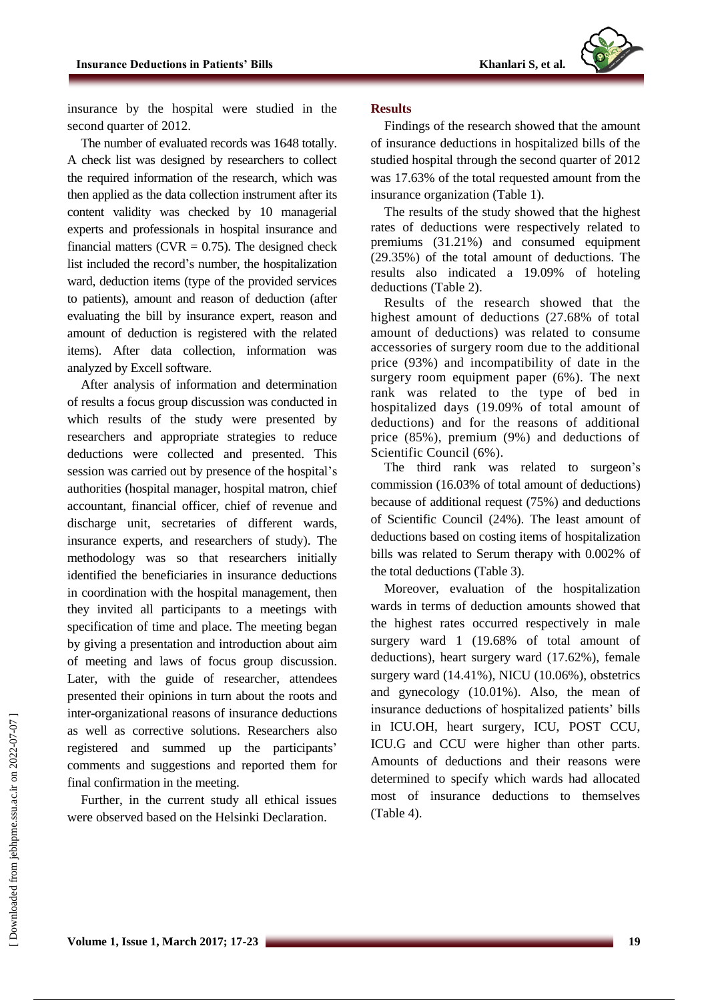insurance by the hospital were studied in the second quarter of 2012.

The number of evaluated records was 1648 totally. A check list was designed by researchers to collect the required information of the research, which was then applied as the data collection instrument after its content validity was checked by 10 managerial experts and professionals in hospital insurance and financial matters (CVR  $= 0.75$ ). The designed check list included the record's number, the hospitalization ward, deduction items (type of the provided services to patients), amount and reason of deduction (after evaluating the bill by insurance expert, reason and amount of deduction is registered with the related items). After data collection, information was analyzed by Excell software.

After analysis of information and determination of results a focus group discussion was conducted in which results of the study were presented by researchers and appropriate strategies to reduce deductions were collected and presented. This session was carried out by presence of the hospital's authorities (hospital manager, hospital matron, chief accountant, financial officer, chief of revenue and discharge unit, secretaries of different wards, insurance experts, and researchers of study). The methodology was so that researchers initially identified the beneficiaries in insurance deductions in coordination with the hospital management, then they invited all participants to a meetings with specification of time and place. The meeting began by giving a presentation and introduction about aim of meeting and laws of focus group discussion. Later, with the guide of researcher, attendees presented their opinions in turn about the roots and inter-organizational reasons of insurance deductions as well as corrective solutions. Researchers also registered and summed up the participants' comments and suggestions and reported them for final confirmation in the meeting.

Further, in the current study all ethical issues were observed based on the Helsinki Declaration.

#### **Results**

Findings of the research showed that the amount of insurance deductions in hospitalized bills of the studied hospital through the second quarter of 2012 was 17.63% of the total requested amount from the insurance organization (Table 1).

The results of the study showed that the highest rates of deductions were respectively related to premiums (31.21%) and consumed equipment (29.35%) of the total amount of deductions. The results also indicated a 19.09% of hoteling deductions (Table 2).

Results of the research showed that the highest amount of deductions (27.68% of total amount of deductions) was related to consume accessories of surgery room due to the additional price (93%) and incompatibility of date in the surgery room equipment paper (6%). The next rank was related to the type of bed in hospitalized days (19.09% of total amount of deductions) and for the reasons of additional price (85%), premium (9%) and deductions of Scientific Council (6%).

The third rank was related to surgeon's commission (16.03% of total amount of deductions) because of additional request (75%) and deductions of Scientific Council (24%). The least amount of deductions based on costing items of hospitalization bills was related to Serum therapy with 0.002% of the total deductions (Table 3).

Moreover, evaluation of the hospitalization wards in terms of deduction amounts showed that the highest rates occurred respectively in male surgery ward 1 (19.68% of total amount of deductions), heart surgery ward (17.62%), female surgery ward (14.41%), NICU (10.06%), obstetrics and gynecology (10.01%). Also, the mean of insurance deductions of hospitalized patients' bills in ICU.OH, heart surgery, ICU, POST CCU, ICU.G and CCU were higher than other parts. Amounts of deductions and their reasons were determined to specify which wards had allocated most of insurance deductions to themselves (Table 4).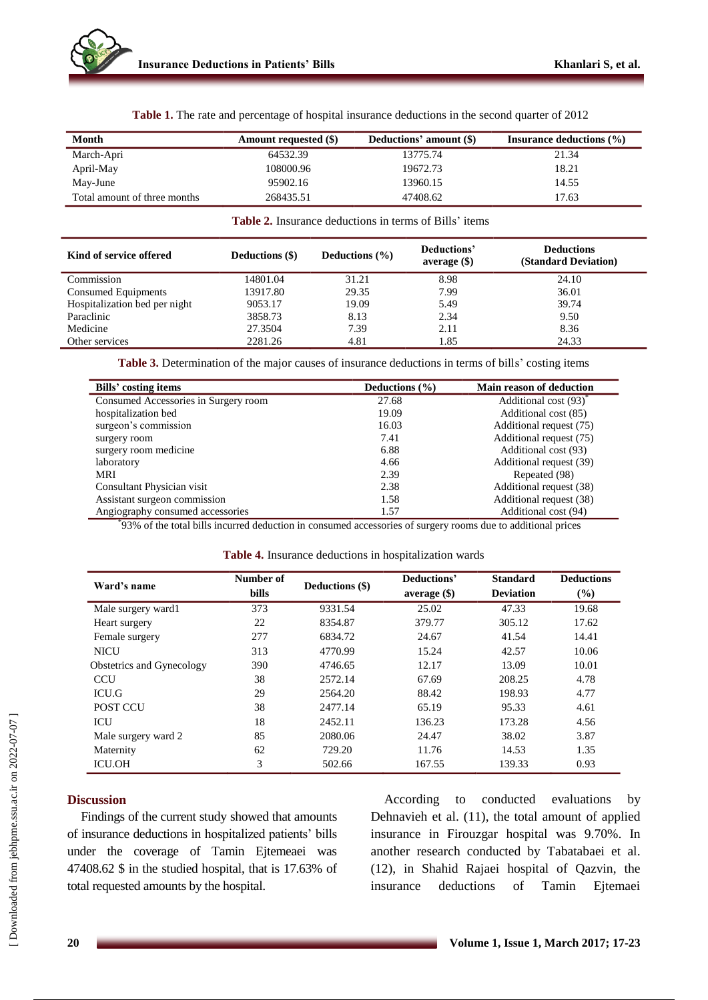| Month                        | Amount requested (\$) | Deductions' amount (\$) | Insurance deductions $(\% )$ |
|------------------------------|-----------------------|-------------------------|------------------------------|
| March-Apri                   | 64532.39              | 13775.74                | 21.34                        |
| April-May                    | 108000.96             | 19672.73                | 18.21                        |
| May-June                     | 95902.16              | 13960.15                | 14.55                        |
| Total amount of three months | 268435.51             | 47408.62                | 17.63                        |

**Table 1.** The rate and percentage of hospital insurance deductions in the second quarter of 2012

#### **Table 2.** Insurance deductions in terms of Bills' items

| Kind of service offered       | Deductions (\$) | Deductions $(\% )$ | Deductions'<br>$average($ \$) | <b>Deductions</b><br>(Standard Deviation) |
|-------------------------------|-----------------|--------------------|-------------------------------|-------------------------------------------|
| Commission                    | 14801.04        | 31.21              | 8.98                          | 24.10                                     |
| Consumed Equipments           | 13917.80        | 29.35              | 7.99                          | 36.01                                     |
| Hospitalization bed per night | 9053.17         | 19.09              | 5.49                          | 39.74                                     |
| Paraclinic                    | 3858.73         | 8.13               | 2.34                          | 9.50                                      |
| Medicine                      | 27.3504         | 7.39               | 2.11                          | 8.36                                      |
| Other services                | 2281.26         | 4.81               | 1.85                          | 24.33                                     |

**Table 3.** Determination of the major causes of insurance deductions in terms of bills' costing items

| Bills' costing items                 | Deductions $(\% )$ | <b>Main reason of deduction</b>   |
|--------------------------------------|--------------------|-----------------------------------|
| Consumed Accessories in Surgery room | 27.68              | Additional cost (93) <sup>*</sup> |
| hospitalization bed                  | 19.09              | Additional cost (85)              |
| surgeon's commission                 | 16.03              | Additional request (75)           |
| surgery room                         | 7.41               | Additional request (75)           |
| surgery room medicine                | 6.88               | Additional cost (93)              |
| laboratory                           | 4.66               | Additional request (39)           |
| MRI                                  | 2.39               | Repeated (98)                     |
| Consultant Physician visit           | 2.38               | Additional request (38)           |
| Assistant surgeon commission         | 1.58               | Additional request (38)           |
| Angiography consumed accessories     | 1.57               | Additional cost (94)              |

\* 93% of the total bills incurred deduction in consumed accessories of surgery rooms due to additional prices

| Table 4. Insurance deductions in hospitalization wards |  |  |  |  |
|--------------------------------------------------------|--|--|--|--|
|--------------------------------------------------------|--|--|--|--|

| Ward's name                      | Number of<br><b>bills</b> | Deductions (\$) | Deductions'<br>average( | <b>Standard</b><br><b>Deviation</b> | <b>Deductions</b><br>(%) |
|----------------------------------|---------------------------|-----------------|-------------------------|-------------------------------------|--------------------------|
| Male surgery ward 1              | 373                       | 9331.54         | 25.02                   | 47.33                               | 19.68                    |
| Heart surgery                    | 22                        | 8354.87         | 379.77                  | 305.12                              | 17.62                    |
| Female surgery                   | 277                       | 6834.72         | 24.67                   | 41.54                               | 14.41                    |
| <b>NICU</b>                      | 313                       | 4770.99         | 15.24                   | 42.57                               | 10.06                    |
| <b>Obstetrics and Gynecology</b> | 390                       | 4746.65         | 12.17                   | 13.09                               | 10.01                    |
| <b>CCU</b>                       | 38                        | 2572.14         | 67.69                   | 208.25                              | 4.78                     |
| <b>ICU.G</b>                     | 29                        | 2564.20         | 88.42                   | 198.93                              | 4.77                     |
| <b>POST CCU</b>                  | 38                        | 2477.14         | 65.19                   | 95.33                               | 4.61                     |
| ICU                              | 18                        | 2452.11         | 136.23                  | 173.28                              | 4.56                     |
| Male surgery ward 2              | 85                        | 2080.06         | 24.47                   | 38.02                               | 3.87                     |
| Maternity                        | 62                        | 729.20          | 11.76                   | 14.53                               | 1.35                     |
| <b>ICU.OH</b>                    | 3                         | 502.66          | 167.55                  | 139.33                              | 0.93                     |

# **Discussion**

Findings of the current study showed that amounts of insurance deductions in hospitalized patients' bills under the coverage of Tamin Ejtemeaei was 47408.62 \$ in the studied hospital, that is 17.63% of total requested amounts by the hospital.

According to conducted evaluations by Dehnavieh et al. (11), the total amount of applied insurance in Firouzgar hospital was 9.70%. In another research conducted by Tabatabaei et al. (12), in Shahid Rajaei hospital of Qazvin, the insurance deductions of Tamin Ejtemaei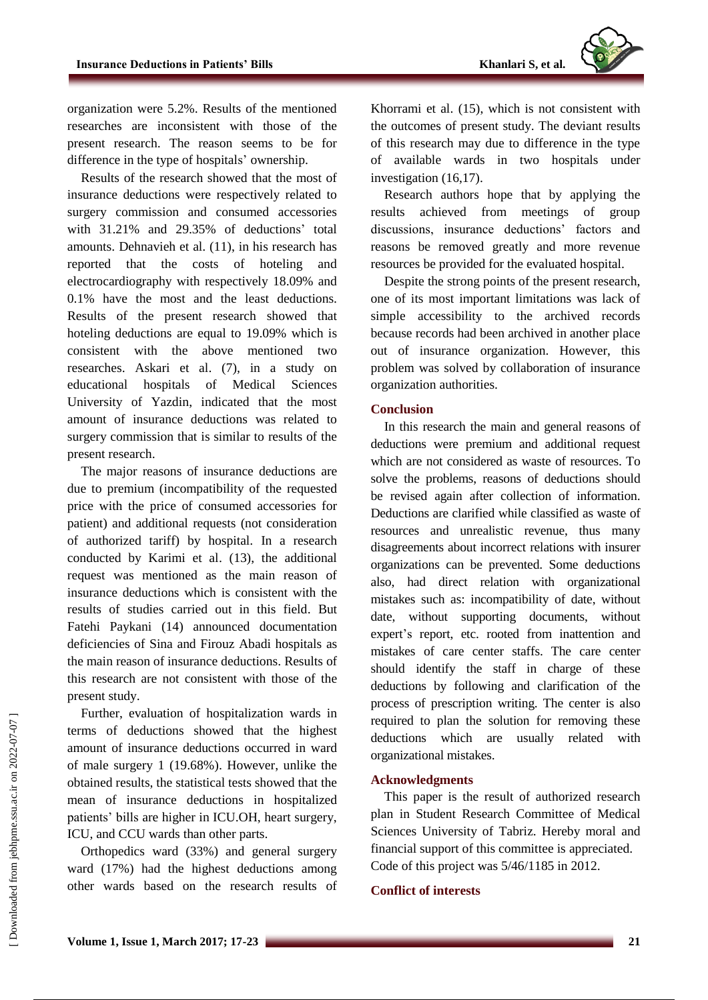

organization were 5.2%. Results of the mentioned researches are inconsistent with those of the present research. The reason seems to be for difference in the type of hospitals' ownership.

Results of the research showed that the most of insurance deductions were respectively related to surgery commission and consumed accessories with 31.21% and 29.35% of deductions' total amounts. Dehnavieh et al. (11), in his research has reported that the costs of hoteling and electrocardiography with respectively 18.09% and 0.1% have the most and the least deductions. Results of the present research showed that hoteling deductions are equal to 19.09% which is consistent with the above mentioned two researches. Askari et al. (7), in a study on educational hospitals of Medical Sciences University of Yazdin, indicated that the most amount of insurance deductions was related to surgery commission that is similar to results of the present research.

The major reasons of insurance deductions are due to premium (incompatibility of the requested price with the price of consumed accessories for patient) and additional requests (not consideration of authorized tariff) by hospital. In a research conducted by Karimi et al. (13), the additional request was mentioned as the main reason of insurance deductions which is consistent with the results of studies carried out in this field. But Fatehi Paykani (14) announced documentation deficiencies of Sina and Firouz Abadi hospitals as the main reason of insurance deductions. Results of this research are not consistent with those of the present study.

Further, evaluation of hospitalization wards in terms of deductions showed that the highest amount of insurance deductions occurred in ward of male surgery 1 (19.68%). However, unlike the obtained results, the statistical tests showed that the mean of insurance deductions in hospitalized patients' bills are higher in ICU.OH, heart surgery, ICU, and CCU wards than other parts.

Orthopedics ward (33%) and general surgery ward (17%) had the highest deductions among other wards based on the research results of Khorrami et al. (15), which is not consistent with the outcomes of present study. The deviant results of this research may due to difference in the type of available wards in two hospitals under investigation (16,17).

Research authors hope that by applying the results achieved from meetings of group discussions, insurance deductions' factors and reasons be removed greatly and more revenue resources be provided for the evaluated hospital.

Despite the strong points of the present research, one of its most important limitations was lack of simple accessibility to the archived records because records had been archived in another place out of insurance organization. However, this problem was solved by collaboration of insurance organization authorities.

# **Conclusion**

In this research the main and general reasons of deductions were premium and additional request which are not considered as waste of resources. To solve the problems, reasons of deductions should be revised again after collection of information. Deductions are clarified while classified as waste of resources and unrealistic revenue, thus many disagreements about incorrect relations with insurer organizations can be prevented. Some deductions also, had direct relation with organizational mistakes such as: incompatibility of date, without date, without supporting documents, without expert's report, etc. rooted from inattention and mistakes of care center staffs. The care center should identify the staff in charge of these deductions by following and clarification of the process of prescription writing. The center is also required to plan the solution for removing these deductions which are usually related with organizational mistakes.

# **Acknowledgments**

This paper is the result of authorized research plan in Student Research Committee of Medical Sciences University of Tabriz. Hereby moral and financial support of this committee is appreciated. Code of this project was 5/46/1185 in 2012.

#### **Conflict of interests**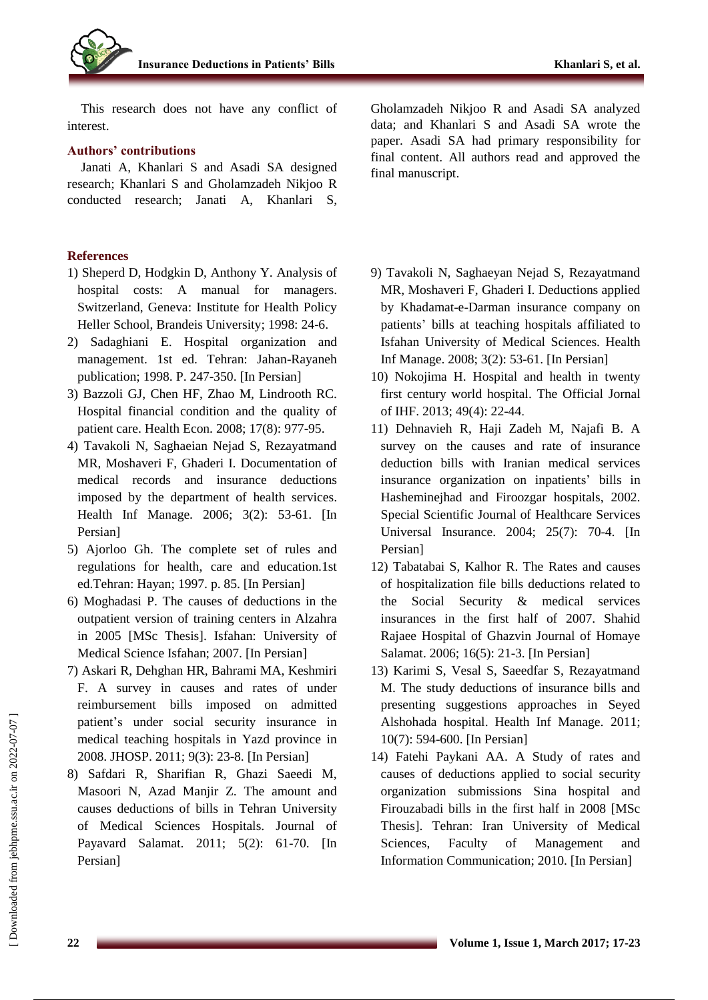

This research does not have any conflict of interest.

# **Authors' contributions**

Janati A, Khanlari S and Asadi SA designed research; Khanlari S and Gholamzadeh Nikjoo R conducted research; Janati A, Khanlari S,

# **References**

- 1) Sheperd D, Hodgkin D, Anthony Y. Analysis of hospital costs: A manual for managers. Switzerland, Geneva: Institute for Health Policy Heller School, Brandeis University; 1998: 24-6.
- 2) Sadaghiani E. Hospital organization and management. 1st ed. Tehran: Jahan-Rayaneh publication; 1998. P. 247-350. [In Persian]
- 3) Bazzoli GJ, Chen HF, Zhao M, Lindrooth RC. Hospital financial condition and the quality of patient care. Health Econ. 2008; 17(8): 977-95.
- 4) Tavakoli N, Saghaeian Nejad S, Rezayatmand MR, Moshaveri F, Ghaderi I. Documentation of medical records and insurance deductions imposed by the department of health services. Health Inf Manage. 2006; 3(2): 53-61. [In Persian]
- 5) Ajorloo Gh. The complete set of rules and regulations for health, care and education.1st ed.Tehran: Hayan; 1997. p. 85. [In Persian]
- 6) Moghadasi P. The causes of deductions in the outpatient version of training centers in Alzahra in 2005 [MSc Thesis]. Isfahan: University of Medical Science Isfahan; 2007. [In Persian]
- 7) Askari R, Dehghan HR, Bahrami MA, Keshmiri F. A survey in causes and rates of under reimbursement bills imposed on admitted patient's under social security insurance in medical teaching hospitals in Yazd province in 2008. JHOSP. 2011; 9(3): 23-8. [In Persian]
- 8) Safdari R, Sharifian R, Ghazi Saeedi M, Masoori N, Azad Manjir Z. The amount and causes deductions of bills in Tehran University of Medical Sciences Hospitals. Journal of Payavard Salamat. 2011; 5(2): 61-70. [In Persian]

Gholamzadeh Nikjoo R and Asadi SA analyzed data; and Khanlari S and Asadi SA wrote the paper. Asadi SA had primary responsibility for final content. All authors read and approved the final manuscript.

- 9) Tavakoli N, Saghaeyan Nejad S, Rezayatmand MR, Moshaveri F, Ghaderi I. Deductions applied by Khadamat-e-Darman insurance company on patients' bills at teaching hospitals affiliated to Isfahan University of Medical Sciences. Health Inf Manage. 2008; 3(2): 53-61. [In Persian]
- 10) Nokojima H. Hospital and health in twenty first century world hospital. The Official Jornal of IHF. 2013; 49(4): 22-44.
- 11) Dehnavieh R, Haji Zadeh M, Najafi B. A survey on the causes and rate of insurance deduction bills with Iranian medical services insurance organization on inpatients' bills in Hasheminejhad and Firoozgar hospitals, 2002. Special Scientific Journal of Healthcare Services Universal Insurance. 2004; 25(7): 70-4. [In Persian]
- 12) Tabatabai S, Kalhor R. The Rates and causes of hospitalization file bills deductions related to the Social Security & medical services insurances in the first half of 2007. Shahid Rajaee Hospital of Ghazvin Journal of Homaye Salamat. 2006; 16(5): 21-3. [In Persian]
- 13) Karimi S, Vesal S, Saeedfar S, Rezayatmand M. The study deductions of insurance bills and presenting suggestions approaches in Seyed Alshohada hospital. Health Inf Manage. 2011; 10(7): 594-600. [In Persian]
- 14) Fatehi Paykani AA. A Study of rates and causes of deductions applied to social security organization submissions Sina hospital and Firouzabadi bills in the first half in 2008 [MSc Thesis]. Tehran: Iran University of Medical Sciences, Faculty of Management and Information Communication; 2010. [In Persian]